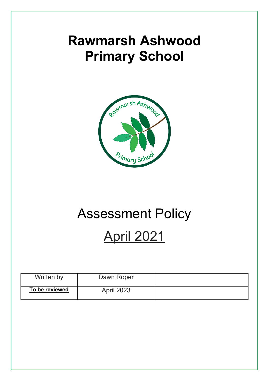# **Rawmarsh Ashwood Primary School**



# Assessment Policy

# April 2021

| Written by     | Dawn Roper        |  |
|----------------|-------------------|--|
| To be reviewed | <b>April 2023</b> |  |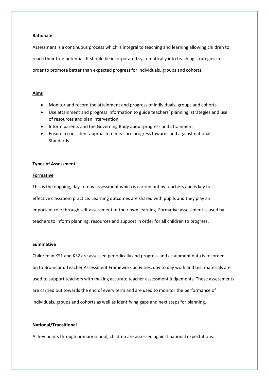## **Rationale**

Assessment is a continuous process which is integral to teaching and learning allowing children to reach their true potential. It should be incorporated systematically into teaching strategies in order to promote better than expected progress for individuals, groups and cohorts.

## **Aims**

- Monitor and record the attainment and progress of individuals, groups and cohorts
- Use attainment and progress information to guide teachers' planning, strategies and use of resources and plan intervention
- Inform parents and the Governing Body about progress and attainment
- Ensure a consistent approach to measure progress towards and against national Standards

## **Types of Assessment**

#### **Formative**

This is the ongoing, day-to-day assessment which is carried out by teachers and is key to effective classroom practice. Learning outcomes are shared with pupils and they play an important role through self-assessment of their own learning. Formative assessment is used by teachers to inform planning, resources and support in order for all children to progress.

#### **Summative**

Children in KS1 and KS2 are assessed periodically and progress and attainment data is recorded on to Bromcom. Teacher Assessment Framework activities, day to day work and test materials are used to support teachers with making accurate teacher assessment judgements. These assessments are carried out towards the end of every term and are used to monitor the performance of individuals, groups and cohorts as well as identifying gaps and next steps for planning.

# **National/Transitional**

At key points through primary school, children are assessed against national expectations.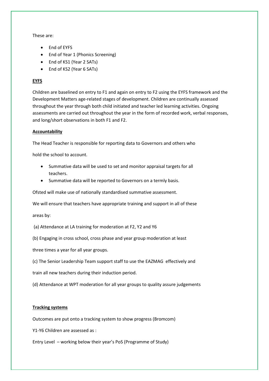These are:

- End of EYFS
- End of Year 1 (Phonics Screening)
- End of KS1 (Year 2 SATs)
- End of KS2 (Year 6 SATs)

# **EYFS**

Children are baselined on entry to F1 and again on entry to F2 using the EYFS framework and the Development Matters age-related stages of development. Children are continually assessed throughout the year through both child initiated and teacher led learning activities. Ongoing assessments are carried out throughout the year in the form of recorded work, verbal responses, and long/short observations in both F1 and F2.

# **Accountability**

The Head Teacher is responsible for reporting data to Governors and others who

hold the school to account.

- Summative data will be used to set and monitor appraisal targets for all teachers.
- Summative data will be reported to Governors on a termly basis.

Ofsted will make use of nationally standardised summative assessment.

We will ensure that teachers have appropriate training and support in all of these

areas by:

- (a) Attendance at LA training for moderation at F2, Y2 and Y6
- (b) Engaging in cross school, cross phase and year group moderation at least

three times a year for all year groups.

(c) The Senior Leadership Team support staff to use the EAZMAG effectively and

train all new teachers during their induction period.

(d) Attendance at WPT moderation for all year groups to quality assure judgements

# **Tracking systems**

Outcomes are put onto a tracking system to show progress (Bromcom)

Y1-Y6 Children are assessed as :

Entry Level – working below their year's PoS (Programme of Study)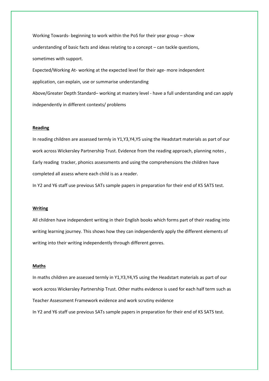Working Towards- beginning to work within the PoS for their year group – show understanding of basic facts and ideas relating to a concept – can tackle questions, sometimes with support.

Expected/Working At- working at the expected level for their age- more independent application, can explain, use or summarise understanding Above/Greater Depth Standard– working at mastery level - have a full understanding and can apply independently in different contexts/ problems

#### **Reading**

In reading children are assessed termly in Y1,Y3,Y4,Y5 using the Headstart materials as part of our work across Wickersley Partnership Trust. Evidence from the reading approach, planning notes , Early reading tracker, phonics assessments and using the comprehensions the children have completed all assess where each child is as a reader.

In Y2 and Y6 staff use previous SATs sample papers in preparation for their end of KS SATS test.

#### **Writing**

All children have independent writing in their English books which forms part of their reading into writing learning journey. This shows how they can independently apply the different elements of writing into their writing independently through different genres.

# **Maths**

In maths children are assessed termly in Y1,Y3,Y4,Y5 using the Headstart materials as part of our work across Wickersley Partnership Trust. Other maths evidence is used for each half term such as Teacher Assessment Framework evidence and work scrutiny evidence In Y2 and Y6 staff use previous SATs sample papers in preparation for their end of KS SATS test.